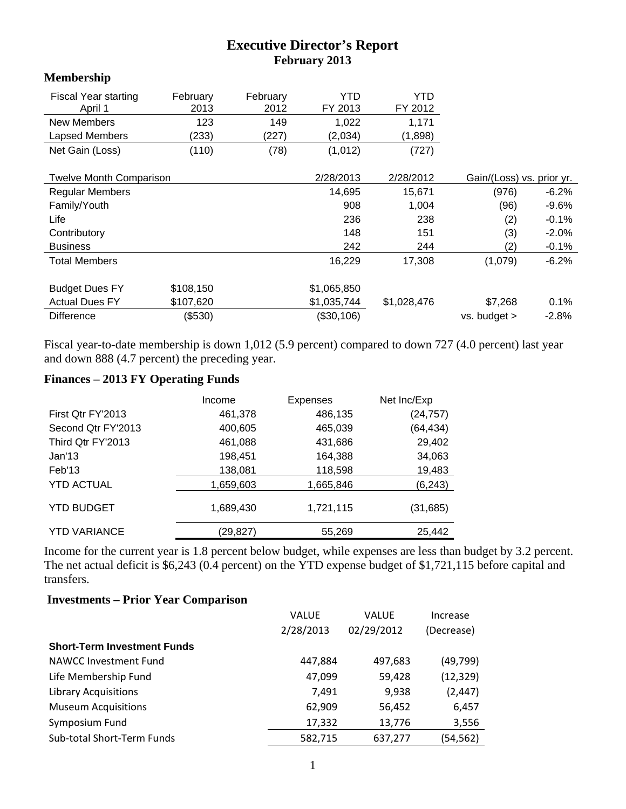## **Executive Director's Report February 2013**

## **Membership**

| <b>Fiscal Year starting</b><br>April 1 | February<br>2013 | February<br>2012 | YTD<br>FY 2013 | YTD<br>FY 2012 |                           |          |
|----------------------------------------|------------------|------------------|----------------|----------------|---------------------------|----------|
| <b>New Members</b>                     | 123              | 149              | 1,022          | 1,171          |                           |          |
| Lapsed Members                         | (233)            | (227)            | (2,034)        | (1,898)        |                           |          |
| Net Gain (Loss)                        | (110)            | (78)             | (1,012)        | (727)          |                           |          |
|                                        |                  |                  |                |                |                           |          |
| <b>Twelve Month Comparison</b>         |                  |                  | 2/28/2013      | 2/28/2012      | Gain/(Loss) vs. prior yr. |          |
| <b>Regular Members</b>                 |                  |                  | 14,695         | 15,671         | (976)                     | $-6.2\%$ |
| Family/Youth                           |                  |                  | 908            | 1,004          | (96)                      | $-9.6\%$ |
| Life                                   |                  |                  | 236            | 238            | (2)                       | $-0.1%$  |
| Contributory                           |                  |                  | 148            | 151            | (3)                       | $-2.0%$  |
| <b>Business</b>                        |                  |                  | 242            | 244            | (2)                       | $-0.1%$  |
| <b>Total Members</b>                   |                  |                  | 16,229         | 17,308         | (1,079)                   | $-6.2%$  |
|                                        |                  |                  |                |                |                           |          |
| <b>Budget Dues FY</b>                  | \$108,150        |                  | \$1,065,850    |                |                           |          |
| <b>Actual Dues FY</b>                  | \$107,620        |                  | \$1,035,744    | \$1,028,476    | \$7,268                   | 0.1%     |
| <b>Difference</b>                      | (\$530)          |                  | (\$30,106)     |                | vs. budget >              | $-2.8%$  |

Fiscal year-to-date membership is down 1,012 (5.9 percent) compared to down 727 (4.0 percent) last year and down 888 (4.7 percent) the preceding year.

## **Finances – 2013 FY Operating Funds**

|                     | Income    | <b>Expenses</b> | Net Inc/Exp |
|---------------------|-----------|-----------------|-------------|
| First Qtr FY'2013   | 461,378   | 486,135         | (24, 757)   |
| Second Qtr FY'2013  | 400,605   | 465,039         | (64, 434)   |
| Third Qtr FY'2013   | 461,088   | 431,686         | 29,402      |
| Jan'13              | 198,451   | 164,388         | 34,063      |
| Feb'13              | 138,081   | 118,598         | 19,483      |
| <b>YTD ACTUAL</b>   | 1,659,603 | 1,665,846       | (6, 243)    |
| <b>YTD BUDGET</b>   | 1,689,430 | 1,721,115       | (31, 685)   |
| <b>YTD VARIANCE</b> | (29,827)  | 55,269          | 25,442      |

Income for the current year is 1.8 percent below budget, while expenses are less than budget by 3.2 percent. The net actual deficit is \$6,243 (0.4 percent) on the YTD expense budget of \$1,721,115 before capital and transfers.

## **Investments – Prior Year Comparison**

| <b>VALUE</b> | <b>VALUE</b> | Increase   |
|--------------|--------------|------------|
| 2/28/2013    | 02/29/2012   | (Decrease) |
|              |              |            |
| 447,884      | 497,683      | (49, 799)  |
| 47,099       | 59,428       | (12, 329)  |
| 7,491        | 9,938        | (2, 447)   |
| 62,909       | 56,452       | 6,457      |
| 17,332       | 13,776       | 3,556      |
| 582,715      | 637,277      | (54,562)   |
|              |              |            |